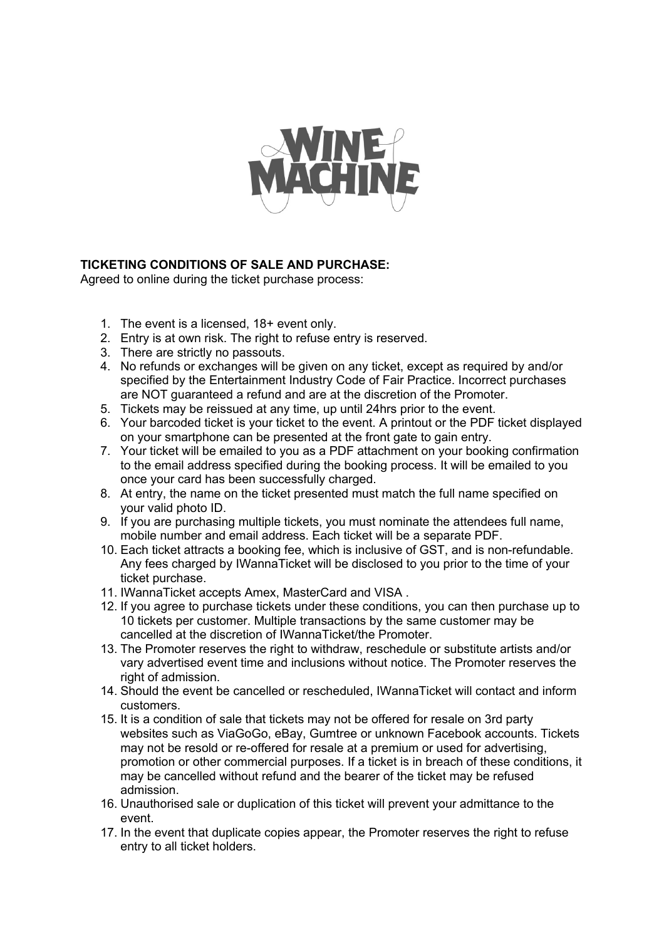

## **TICKETING CONDITIONS OF SALE AND PURCHASE:**

Agreed to online during the ticket purchase process:

- 1. The event is a licensed, 18+ event only.
- 2. Entry is at own risk. The right to refuse entry is reserved.
- 3. There are strictly no passouts.
- 4. No refunds or exchanges will be given on any ticket, except as required by and/or specified by the Entertainment Industry Code of Fair Practice. Incorrect purchases are NOT guaranteed a refund and are at the discretion of the Promoter.
- 5. Tickets may be reissued at any time, up until 24hrs prior to the event.
- 6. Your barcoded ticket is your ticket to the event. A printout or the PDF ticket displayed on your smartphone can be presented at the front gate to gain entry.
- 7. Your ticket will be emailed to you as a PDF attachment on your booking confirmation to the email address specified during the booking process. It will be emailed to you once your card has been successfully charged.
- 8. At entry, the name on the ticket presented must match the full name specified on your valid photo ID.
- 9. If you are purchasing multiple tickets, you must nominate the attendees full name, mobile number and email address. Each ticket will be a separate PDF.
- 10. Each ticket attracts a booking fee, which is inclusive of GST, and is non-refundable. Any fees charged by IWannaTicket will be disclosed to you prior to the time of your ticket purchase.
- 11. IWannaTicket accepts Amex, MasterCard and VISA .
- 12. If you agree to purchase tickets under these conditions, you can then purchase up to 10 tickets per customer. Multiple transactions by the same customer may be cancelled at the discretion of IWannaTicket/the Promoter.
- 13. The Promoter reserves the right to withdraw, reschedule or substitute artists and/or vary advertised event time and inclusions without notice. The Promoter reserves the right of admission.
- 14. Should the event be cancelled or rescheduled, IWannaTicket will contact and inform customers.
- 15. It is a condition of sale that tickets may not be offered for resale on 3rd party websites such as ViaGoGo, eBay, Gumtree or unknown Facebook accounts. Tickets may not be resold or re-offered for resale at a premium or used for advertising, promotion or other commercial purposes. If a ticket is in breach of these conditions, it may be cancelled without refund and the bearer of the ticket may be refused admission.
- 16. Unauthorised sale or duplication of this ticket will prevent your admittance to the event.
- 17. In the event that duplicate copies appear, the Promoter reserves the right to refuse entry to all ticket holders.